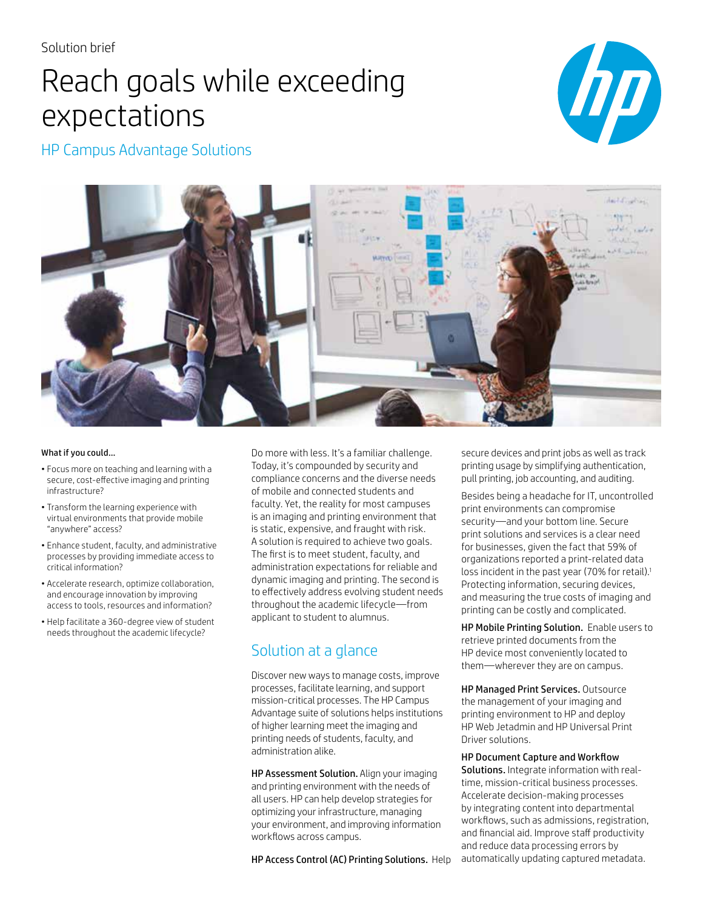# Reach goals while exceeding expectations



HP Campus Advantage Solutions



### What if you could…

- Focus more on teaching and learning with a secure, cost-effective imaging and printing infrastructure?
- Transform the learning experience with virtual environments that provide mobile "anywhere" access?
- Enhance student, faculty, and administrative processes by providing immediate access to critical information?
- Accelerate research, optimize collaboration, and encourage innovation by improving access to tools, resources and information?
- Help facilitate a 360-degree view of student needs throughout the academic lifecycle?

Do more with less. It's a familiar challenge. Today, it's compounded by security and compliance concerns and the diverse needs of mobile and connected students and faculty. Yet, the reality for most campuses is an imaging and printing environment that is static, expensive, and fraught with risk. A solution is required to achieve two goals. The first is to meet student, faculty, and administration expectations for reliable and dynamic imaging and printing. The second is to effectively address evolving student needs throughout the academic lifecycle—from applicant to student to alumnus.

# Solution at a glance

Discover new ways to manage costs, improve processes, facilitate learning, and support mission-critical processes. The HP Campus Advantage suite of solutions helps institutions of higher learning meet the imaging and printing needs of students, faculty, and administration alike.

HP Assessment Solution. Align your imaging and printing environment with the needs of all users. HP can help develop strategies for optimizing your infrastructure, managing your environment, and improving information workflows across campus.

HP Access Control (AC) Printing Solutions. Help

secure devices and print jobs as well as track printing usage by simplifying authentication, pull printing, job accounting, and auditing.

Besides being a headache for IT, uncontrolled print environments can compromise security—and your bottom line. Secure print solutions and services is a clear need for businesses, given the fact that 59% of organizations reported a print-related data loss incident in the past year (70% for retail).<sup>1</sup> Protecting information, securing devices, and measuring the true costs of imaging and printing can be costly and complicated.

HP Mobile Printing Solution. Enable users to retrieve printed documents from the HP device most conveniently located to them—wherever they are on campus.

HP Managed Print Services. Outsource the management of your imaging and printing environment to HP and deploy HP Web Jetadmin and HP Universal Print Driver solutions.

HP Document Capture and Workflow Solutions. Integrate information with realtime, mission-critical business processes. Accelerate decision-making processes by integrating content into departmental workflows, such as admissions, registration, and financial aid. Improve staff productivity and reduce data processing errors by automatically updating captured metadata.